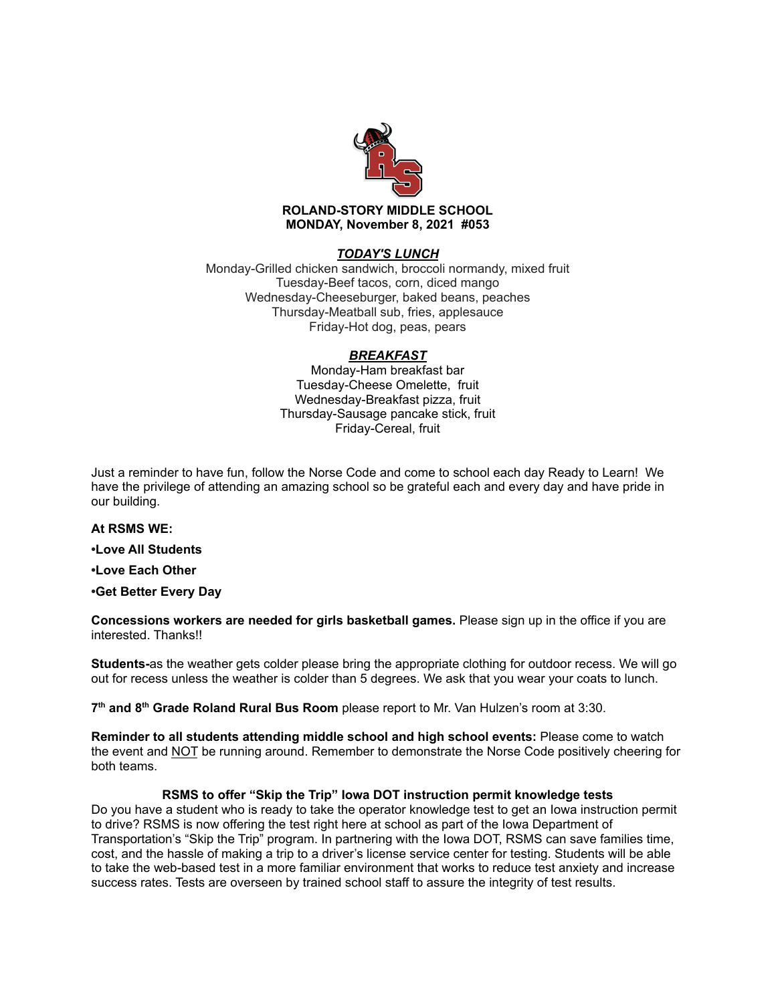

## *TODAY'S LUNCH*

Monday-Grilled chicken sandwich, broccoli normandy, mixed fruit Tuesday-Beef tacos, corn, diced mango Wednesday-Cheeseburger, baked beans, peaches Thursday-Meatball sub, fries, applesauce Friday-Hot dog, peas, pears

## *BREAKFAST*

Monday-Ham breakfast bar Tuesday-Cheese Omelette, fruit Wednesday-Breakfast pizza, fruit Thursday-Sausage pancake stick, fruit Friday-Cereal, fruit

Just a reminder to have fun, follow the Norse Code and come to school each day Ready to Learn! We have the privilege of attending an amazing school so be grateful each and every day and have pride in our building.

## **At RSMS WE:**

**•Love All Students**

**•Love Each Other**

**•Get Better Every Day**

**Concessions workers are needed for girls basketball games.** Please sign up in the office if you are interested. Thanks!!

**Students-**as the weather gets colder please bring the appropriate clothing for outdoor recess. We will go out for recess unless the weather is colder than 5 degrees. We ask that you wear your coats to lunch.

**7 th and 8 th Grade Roland Rural Bus Room** please report to Mr. Van Hulzen's room at 3:30.

**Reminder to all students attending middle school and high school events:** Please come to watch the event and NOT be running around. Remember to demonstrate the Norse Code positively cheering for both teams.

#### **RSMS to offer "Skip the Trip" Iowa DOT instruction permit knowledge tests**

Do you have a student who is ready to take the operator knowledge test to get an Iowa instruction permit to drive? RSMS is now offering the test right here at school as part of the Iowa Department of Transportation's "Skip the Trip" program. In partnering with the Iowa DOT, RSMS can save families time, cost, and the hassle of making a trip to a driver's license service center for testing. Students will be able to take the web-based test in a more familiar environment that works to reduce test anxiety and increase success rates. Tests are overseen by trained school staff to assure the integrity of test results.